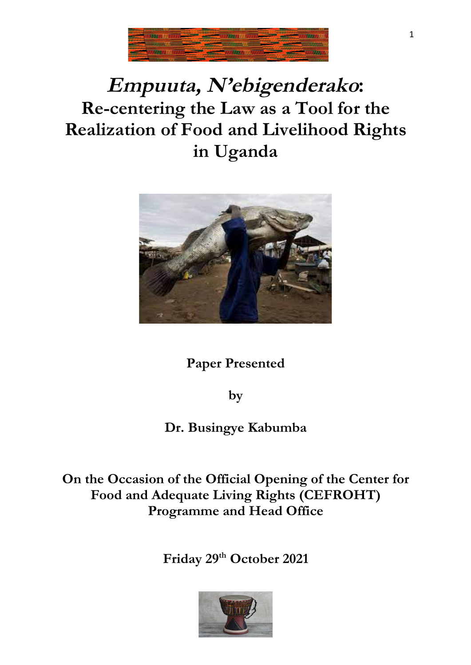

# **Empuuta, N'ebigenderako: Re-centering the Law as a Tool for the Realization of Food and Livelihood Rights in Uganda**



**Paper Presented** 

**by** 

**Dr. Busingye Kabumba**

**On the Occasion of the Official Opening of the Center for Food and Adequate Living Rights (CEFROHT) Programme and Head Office**

**Friday 29th October 2021**

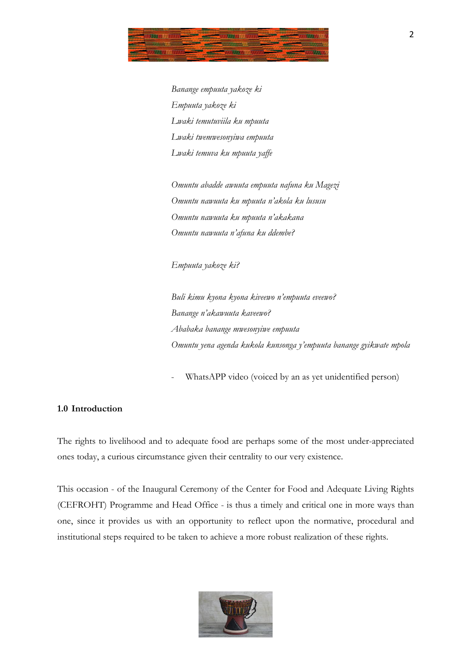

 *Banange empuuta yakoze ki Empuuta yakoze ki Lwaki temutuviila ku mpuuta Lwaki twemwesonyiwa empuuta Lwaki temuva ku mpuuta yaffe*

*Omuntu abadde awuuta empuuta nafuna ku Magezi Omuntu nawuuta ku mpuuta n'akola ku lususu Omuntu nawuuta ku mpuuta n'akakana Omuntu nawuuta n'afuna ku ddembe?*

*Empuuta yakoze ki?*

*Buli kimu kyona kyona kiveewo n'empuuta eveewo? Banange n'akawuuta kaveewo? Ababaka banange mwesonyiwe empuuta Omuntu yena agenda kukola kunsonga y'empuuta banange gyikwate mpola*

WhatsAPP video (voiced by an as yet unidentified person)

## **1.0 Introduction**

The rights to livelihood and to adequate food are perhaps some of the most under-appreciated ones today, a curious circumstance given their centrality to our very existence.

This occasion - of the Inaugural Ceremony of the Center for Food and Adequate Living Rights (CEFROHT) Programme and Head Office - is thus a timely and critical one in more ways than one, since it provides us with an opportunity to reflect upon the normative, procedural and institutional steps required to be taken to achieve a more robust realization of these rights.

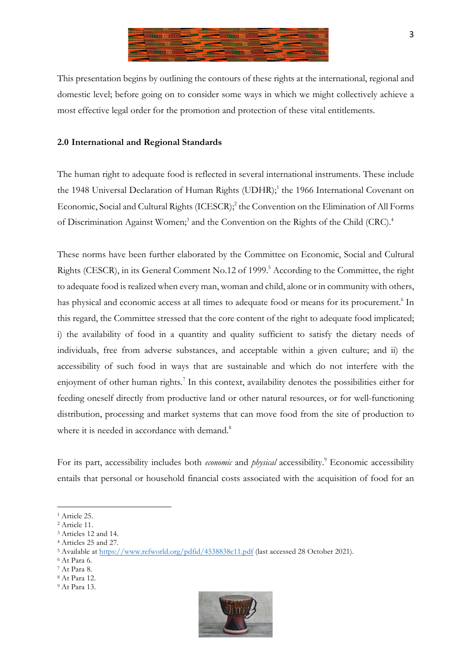

This presentation begins by outlining the contours of these rights at the international, regional and domestic level; before going on to consider some ways in which we might collectively achieve a most effective legal order for the promotion and protection of these vital entitlements.

## **2.0 International and Regional Standards**

The human right to adequate food is reflected in several international instruments. These include the 1948 Universal Declaration of Human Rights (UDHR);<sup>1</sup> the 1966 International Covenant on Economic, Social and Cultural Rights (ICESCR);<sup>2</sup> the Convention on the Elimination of All Forms of Discrimination Against Women;<sup>3</sup> and the Convention on the Rights of the Child (CRC).<sup>4</sup>

These norms have been further elaborated by the Committee on Economic, Social and Cultural Rights (CESCR), in its General Comment No.12 of 1999. <sup>5</sup> According to the Committee, the right to adequate food is realized when every man, woman and child, alone or in community with others, has physical and economic access at all times to adequate food or means for its procurement.<sup>6</sup> In this regard, the Committee stressed that the core content of the right to adequate food implicated; i) the availability of food in a quantity and quality sufficient to satisfy the dietary needs of individuals, free from adverse substances, and acceptable within a given culture; and ii) the accessibility of such food in ways that are sustainable and which do not interfere with the enjoyment of other human rights.<sup>7</sup> In this context, availability denotes the possibilities either for feeding oneself directly from productive land or other natural resources, or for well-functioning distribution, processing and market systems that can move food from the site of production to where it is needed in accordance with demand.<sup>8</sup>

For its part, accessibility includes both *economic* and *physical* accessibility.<sup>9</sup> Economic accessibility entails that personal or household financial costs associated with the acquisition of food for an



<sup>&</sup>lt;sup>1</sup> Article 25.

<sup>2</sup> Article 11.

<sup>3</sup> Articles 12 and 14.

<sup>4</sup> Articles 25 and 27.

<sup>5</sup> Available at https://www.refworld.org/pdfid/4538838c11.pdf (last accessed 28 October 2021).

<sup>6</sup> At Para 6.

<sup>7</sup> At Para 8.

<sup>8</sup> At Para 12.

<sup>9</sup> At Para 13.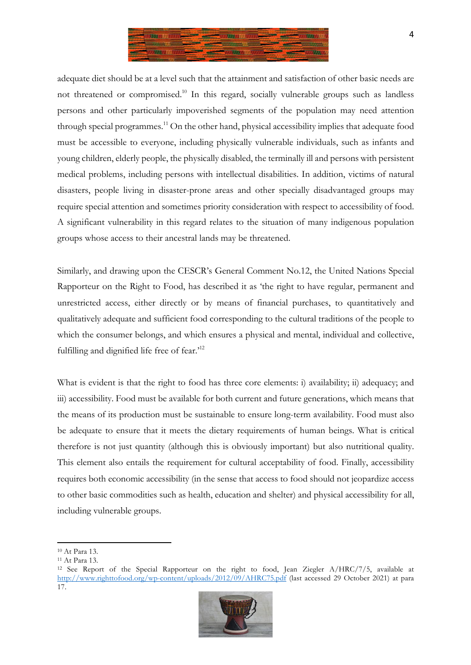

adequate diet should be at a level such that the attainment and satisfaction of other basic needs are not threatened or compromised.<sup>10</sup> In this regard, socially vulnerable groups such as landless persons and other particularly impoverished segments of the population may need attention through special programmes.<sup>11</sup> On the other hand, physical accessibility implies that adequate food must be accessible to everyone, including physically vulnerable individuals, such as infants and young children, elderly people, the physically disabled, the terminally ill and persons with persistent medical problems, including persons with intellectual disabilities. In addition, victims of natural disasters, people living in disaster-prone areas and other specially disadvantaged groups may require special attention and sometimes priority consideration with respect to accessibility of food. A significant vulnerability in this regard relates to the situation of many indigenous population groups whose access to their ancestral lands may be threatened.

Similarly, and drawing upon the CESCR's General Comment No.12, the United Nations Special Rapporteur on the Right to Food, has described it as 'the right to have regular, permanent and unrestricted access, either directly or by means of financial purchases, to quantitatively and qualitatively adequate and sufficient food corresponding to the cultural traditions of the people to which the consumer belongs, and which ensures a physical and mental, individual and collective, fulfilling and dignified life free of fear.'12

What is evident is that the right to food has three core elements: i) availability; ii) adequacy; and iii) accessibility. Food must be available for both current and future generations, which means that the means of its production must be sustainable to ensure long-term availability. Food must also be adequate to ensure that it meets the dietary requirements of human beings. What is critical therefore is not just quantity (although this is obviously important) but also nutritional quality. This element also entails the requirement for cultural acceptability of food. Finally, accessibility requires both economic accessibility (in the sense that access to food should not jeopardize access to other basic commodities such as health, education and shelter) and physical accessibility for all, including vulnerable groups.

<sup>12</sup> See Report of the Special Rapporteur on the right to food, Jean Ziegler A/HRC/7/5, available at http://www.righttofood.org/wp-content/uploads/2012/09/AHRC75.pdf (last accessed 29 October 2021) at para 17.



<sup>10</sup> At Para 13.

<sup>11</sup> At Para 13.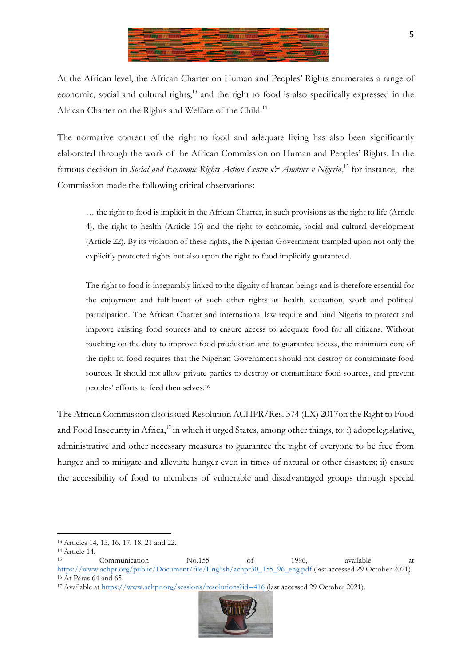

At the African level, the African Charter on Human and Peoples' Rights enumerates a range of economic, social and cultural rights,<sup>13</sup> and the right to food is also specifically expressed in the African Charter on the Rights and Welfare of the Child.<sup>14</sup>

The normative content of the right to food and adequate living has also been significantly elaborated through the work of the African Commission on Human and Peoples' Rights. In the famous decision in *Social and Economic Rights Action Centre & Another v Nigeria*,<sup>15</sup> for instance, the Commission made the following critical observations:

… the right to food is implicit in the African Charter, in such provisions as the right to life (Article 4), the right to health (Article 16) and the right to economic, social and cultural development (Article 22). By its violation of these rights, the Nigerian Government trampled upon not only the explicitly protected rights but also upon the right to food implicitly guaranteed.

The right to food is inseparably linked to the dignity of human beings and is therefore essential for the enjoyment and fulfilment of such other rights as health, education, work and political participation. The African Charter and international law require and bind Nigeria to protect and improve existing food sources and to ensure access to adequate food for all citizens. Without touching on the duty to improve food production and to guarantee access, the minimum core of the right to food requires that the Nigerian Government should not destroy or contaminate food sources. It should not allow private parties to destroy or contaminate food sources, and prevent peoples' efforts to feed themselves.16

The African Commission also issued Resolution ACHPR/Res. 374 (LX) 2017on the Right to Food and Food Insecurity in Africa,<sup>17</sup> in which it urged States, among other things, to: i) adopt legislative, administrative and other necessary measures to guarantee the right of everyone to be free from hunger and to mitigate and alleviate hunger even in times of natural or other disasters; ii) ensure the accessibility of food to members of vulnerable and disadvantaged groups through special

<sup>&</sup>lt;sup>17</sup> Available at https://www.achpr.org/sessions/resolutions?id=416 (last accessed 29 October 2021).



 <sup>13</sup> Articles 14, 15, 16, 17, 18, 21 and 22.

 $14$  Article 14.

Communication No.155 of 1996, available at https://www.achpr.org/public/Document/file/English/achpr30\_155\_96\_eng.pdf (last accessed 29 October 2021). <sup>16</sup> At Paras 64 and 65.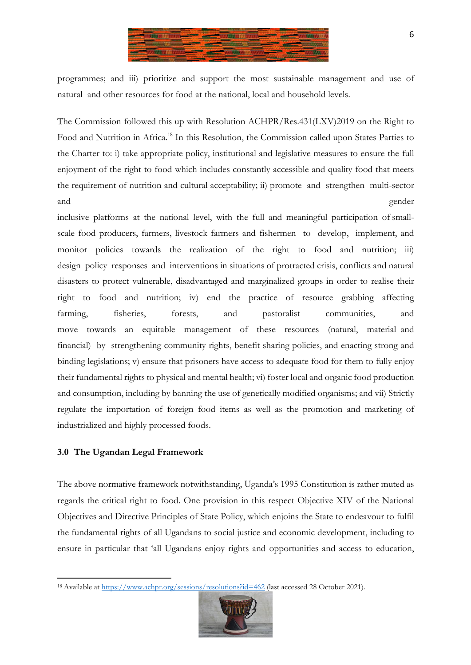

programmes; and iii) prioritize and support the most sustainable management and use of natural and other resources for food at the national, local and household levels.

The Commission followed this up with Resolution ACHPR/Res.431(LXV)2019 on the Right to Food and Nutrition in Africa.<sup>18</sup> In this Resolution, the Commission called upon States Parties to the Charter to: i) take appropriate policy, institutional and legislative measures to ensure the full enjoyment of the right to food which includes constantly accessible and quality food that meets the requirement of nutrition and cultural acceptability; ii) promote and strengthen multi-sector and gender

inclusive platforms at the national level, with the full and meaningful participation of smallscale food producers, farmers, livestock farmers and fishermen to develop, implement, and monitor policies towards the realization of the right to food and nutrition; iii) design policy responses and interventions in situations of protracted crisis, conflicts and natural disasters to protect vulnerable, disadvantaged and marginalized groups in order to realise their right to food and nutrition; iv) end the practice of resource grabbing affecting farming, fisheries, forests, and pastoralist communities, and move towards an equitable management of these resources (natural, material and financial) by strengthening community rights, benefit sharing policies, and enacting strong and binding legislations; v) ensure that prisoners have access to adequate food for them to fully enjoy their fundamental rights to physical and mental health; vi) foster local and organic food production and consumption, including by banning the use of genetically modified organisms; and vii) Strictly regulate the importation of foreign food items as well as the promotion and marketing of industrialized and highly processed foods.

### **3.0 The Ugandan Legal Framework**

 

The above normative framework notwithstanding, Uganda's 1995 Constitution is rather muted as regards the critical right to food. One provision in this respect Objective XIV of the National Objectives and Directive Principles of State Policy, which enjoins the State to endeavour to fulfil the fundamental rights of all Ugandans to social justice and economic development, including to ensure in particular that 'all Ugandans enjoy rights and opportunities and access to education,

<sup>&</sup>lt;sup>18</sup> Available at https://www.achpr.org/sessions/resolutions?id=462 (last accessed 28 October 2021).

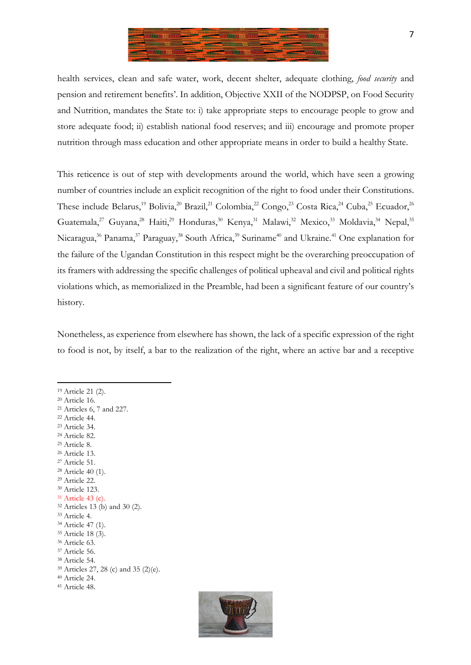

health services, clean and safe water, work, decent shelter, adequate clothing, *food security* and pension and retirement benefits'. In addition, Objective XXII of the NODPSP, on Food Security and Nutrition, mandates the State to: i) take appropriate steps to encourage people to grow and store adequate food; ii) establish national food reserves; and iii) encourage and promote proper nutrition through mass education and other appropriate means in order to build a healthy State.

This reticence is out of step with developments around the world, which have seen a growing number of countries include an explicit recognition of the right to food under their Constitutions. These include Belarus,<sup>19</sup> Bolivia,<sup>20</sup> Brazil,<sup>21</sup> Colombia,<sup>22</sup> Congo,<sup>23</sup> Costa Rica,<sup>24</sup> Cuba,<sup>25</sup> Ecuador,<sup>26</sup> Guatemala,<sup>27</sup> Guyana,<sup>28</sup> Haiti,<sup>29</sup> Honduras,<sup>30</sup> Kenya,<sup>31</sup> Malawi,<sup>32</sup> Mexico,<sup>33</sup> Moldavia,<sup>34</sup> Nepal,<sup>35</sup> Nicaragua,<sup>36</sup> Panama,<sup>37</sup> Paraguay,<sup>38</sup> South Africa,<sup>39</sup> Suriname<sup>40</sup> and Ukraine.<sup>41</sup> One explanation for the failure of the Ugandan Constitution in this respect might be the overarching preoccupation of its framers with addressing the specific challenges of political upheaval and civil and political rights violations which, as memorialized in the Preamble, had been a significant feature of our country's history.

Nonetheless, as experience from elsewhere has shown, the lack of a specific expression of the right to food is not, by itself, a bar to the realization of the right, where an active bar and a receptive

<sup>19</sup> Article 21 (2).

<sup>20</sup> Article 16. <sup>21</sup> Articles 6, 7 and 227.

- <sup>22</sup> Article 44.
- <sup>23</sup> Article 34.
- <sup>24</sup> Article 82.
- <sup>25</sup> Article 8.
- <sup>26</sup> Article 13.
- <sup>27</sup> Article 51.
- <sup>28</sup> Article 40 (1).
- <sup>29</sup> Article 22.
- <sup>30</sup> Article 123.
- <sup>31</sup> Article 43 (c). <sup>32</sup> Articles 13 (b) and 30 (2).
- <sup>33</sup> Article 4.
- <sup>34</sup> Article 47 (1).
- <sup>35</sup> Article 18 (3).
- <sup>36</sup> Article 63.
- <sup>37</sup> Article 56.
- <sup>38</sup> Article 54.
- <sup>39</sup> Articles 27, 28 (c) and 35 (2)(e).
- <sup>40</sup> Article 24.
- <sup>41</sup> Article 48.

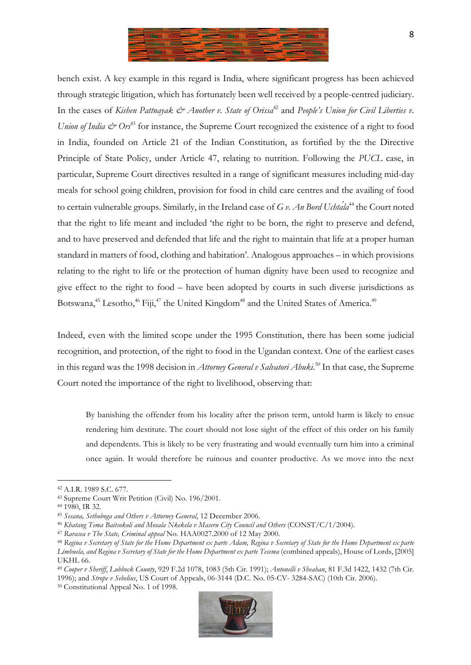

bench exist. A key example in this regard is India, where significant progress has been achieved through strategic litigation, which has fortunately been well received by a people-centred judiciary. In the cases of *Kishen Pattnayak*  $\mathcal{O}$  *Another v. State of Orissa*<sup>42</sup> and *People's Union for Civil Liberties v. Union of India*  $\mathcal{Q}$  *Ors*<sup>43</sup> for instance, the Supreme Court recognized the existence of a right to food in India, founded on Article 21 of the Indian Constitution, as fortified by the the Directive Principle of State Policy, under Article 47, relating to nutrition. Following the *PUCL* case, in particular, Supreme Court directives resulted in a range of significant measures including mid-day meals for school going children, provision for food in child care centres and the availing of food to certain vulnerable groups. Similarly, in the Ireland case of *G v. An Bord Uchtála*<sup>44</sup> the Court noted that the right to life meant and included 'the right to be born, the right to preserve and defend, and to have preserved and defended that life and the right to maintain that life at a proper human standard in matters of food, clothing and habitation'. Analogous approaches – in which provisions relating to the right to life or the protection of human dignity have been used to recognize and give effect to the right to food – have been adopted by courts in such diverse jurisdictions as Botswana,<sup>45</sup> Lesotho,<sup>46</sup> Fiji,<sup>47</sup> the United Kingdom<sup>48</sup> and the United States of America.<sup>49</sup>

Indeed, even with the limited scope under the 1995 Constitution, there has been some judicial recognition, and protection, of the right to food in the Ugandan context. One of the earliest cases in this regard was the 1998 decision in *Attorney General v Salvatori Abuki*. <sup>50</sup> In that case, the Supreme Court noted the importance of the right to livelihood, observing that:

By banishing the offender from his locality after the prison term, untold harm is likely to ensue rendering him destitute. The court should not lose sight of the effect of this order on his family and dependents. This is likely to be very frustrating and would eventually turn him into a criminal once again. It would therefore be ruinous and counter productive. As we move into the next



<sup>42</sup> A.I.R. 1989 S.C. 677.

<sup>43</sup> Supreme Court Writ Petition (Civil) No. 196/2001.

<sup>44</sup> 1980, IR 32.

<sup>45</sup> *Sesana, Sethoboga and Others v Attorney General*, 12 December 2006.

<sup>46</sup> *Khatang Tema Baitsokoli and Mosala Nkekela v Maseru City Council and Others* (CONST/C/1/2004).

<sup>47</sup> *Rarasea v The State, Criminal appeal* No. HAA0027.2000 of 12 May 2000.

<sup>48</sup> *Regina v Secretary of State for the Home Department ex parte Adam, Regina v Secretary of State for the Home Department ex parte Limbuela, and Regina v Secretary of State for the Home Department ex parte Tesema* (combined appeals), House of Lords, [2005] UKHL 66.

<sup>49</sup> *Cooper v Sheriff*, *Lubbock County*, 929 F.2d 1078, 1083 (5th Cir. 1991); *Antonelli v Sheahan*, 81 F.3d 1422, 1432 (7th Cir. 1996); and *Strope v Sebelius*, US Court of Appeals, 06-3144 (D.C. No. 05-CV- 3284-SAC) (10th Cir. 2006).

<sup>50</sup> Constitutional Appeal No. 1 of 1998.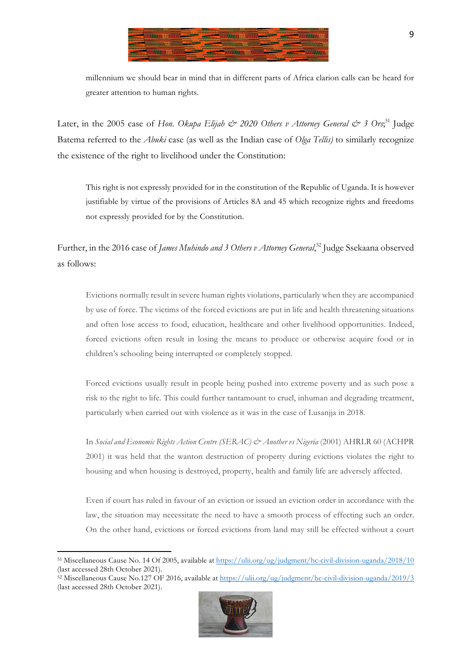

millennium we should bear in mind that in different parts of Africa clarion calls can be heard for greater attention to human rights.

Later, in the 2005 case of *Hon. Okupa Elijah & 2020 Others v Attorney General & 3 Ors*; <sup>51</sup> Judge Batema referred to the *Abuki* case (as well as the Indian case of *Olga Tellis)* to similarly recognize the existence of the right to livelihood under the Constitution:

This right is not expressly provided for in the constitution of the Republic of Uganda. It is however justifiable by virtue of the provisions of Articles 8A and 45 which recognize rights and freedoms not expressly provided for by the Constitution.

Further, in the 2016 case of *James Muhindo and 3 Others v Attorney General*, <sup>52</sup> Judge Ssekaana observed as follows:

Evictions normally result in severe human rights violations, particularly when they are accompanied by use of force. The victims of the forced evictions are put in life and health threatening situations and often lose access to food, education, healthcare and other livelihood opportunities. Indeed, forced evictions often result in losing the means to produce or otherwise acquire food or in children's schooling being interrupted or completely stopped.

Forced evictions usually result in people being pushed into extreme poverty and as such pose a risk to the right to life. This could further tantamount to cruel, inhuman and degrading treatment, particularly when carried out with violence as it was in the case of Lusanjja in 2018.

In *Social and Economic Rights Action Centre (SERAC) & Another vs Nigeria* (2001) AHRLR 60 (ACHPR 2001) it was held that the wanton destruction of property during evictions violates the right to housing and when housing is destroyed, property, health and family life are adversely affected.

Even if court has ruled in favour of an eviction or issued an eviction order in accordance with the law, the situation may necessitate the need to have a smooth process of effecting such an order. On the other hand, evictions or forced evictions from land may still be effected without a court

 $\frac{52}{2}$  Miscellaneous Cause No.127 OF 2016, available at https://ulii.org/ug/judgment/hc-civil-division-uganda/2019/3 (last accessed 28th October 2021).



<sup>51</sup> Miscellaneous Cause No. 14 Of 2005, available at https://ulii.org/ug/judgment/hc-civil-division-uganda/2018/10 (last accessed 28th October 2021).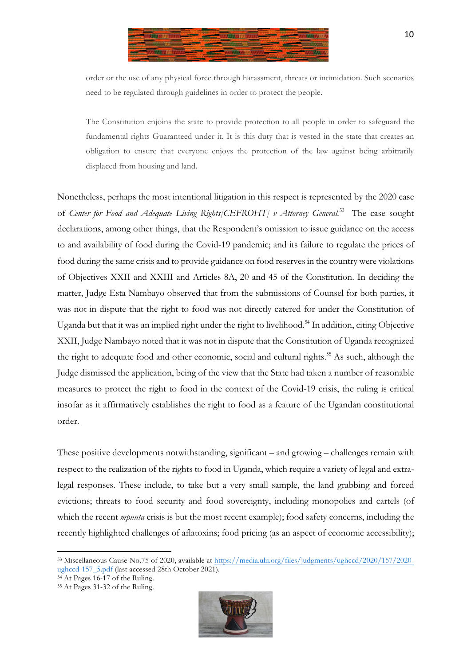

order or the use of any physical force through harassment, threats or intimidation. Such scenarios need to be regulated through guidelines in order to protect the people.

The Constitution enjoins the state to provide protection to all people in order to safeguard the fundamental rights Guaranteed under it. It is this duty that is vested in the state that creates an obligation to ensure that everyone enjoys the protection of the law against being arbitrarily displaced from housing and land.

Nonetheless, perhaps the most intentional litigation in this respect is represented by the 2020 case of *Center for Food and Adequate Living Rights* [CEFROHT] v Attorney General.<sup>53</sup> The case sought declarations, among other things, that the Respondent's omission to issue guidance on the access to and availability of food during the Covid-19 pandemic; and its failure to regulate the prices of food during the same crisis and to provide guidance on food reserves in the country were violations of Objectives XXII and XXIII and Articles 8A, 20 and 45 of the Constitution. In deciding the matter, Judge Esta Nambayo observed that from the submissions of Counsel for both parties, it was not in dispute that the right to food was not directly catered for under the Constitution of Uganda but that it was an implied right under the right to livelihood.<sup>54</sup> In addition, citing Objective XXII, Judge Nambayo noted that it was not in dispute that the Constitution of Uganda recognized the right to adequate food and other economic, social and cultural rights.<sup>55</sup> As such, although the Judge dismissed the application, being of the view that the State had taken a number of reasonable measures to protect the right to food in the context of the Covid-19 crisis, the ruling is critical insofar as it affirmatively establishes the right to food as a feature of the Ugandan constitutional order.

These positive developments notwithstanding, significant – and growing – challenges remain with respect to the realization of the rights to food in Uganda, which require a variety of legal and extralegal responses. These include, to take but a very small sample, the land grabbing and forced evictions; threats to food security and food sovereignty, including monopolies and cartels (of which the recent *mpuuta* crisis is but the most recent example); food safety concerns, including the recently highlighted challenges of aflatoxins; food pricing (as an aspect of economic accessibility);



<sup>53</sup> Miscellaneous Cause No.75 of 2020, available at https://media.ulii.org/files/judgments/ughccd/2020/157/2020 ughccd-157\_5.pdf (last accessed 28th October 2021).

<sup>54</sup> At Pages 16-17 of the Ruling.

<sup>55</sup> At Pages 31-32 of the Ruling.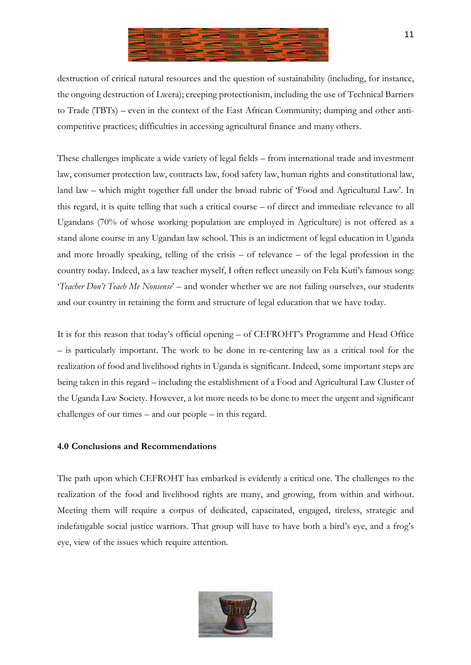

destruction of critical natural resources and the question of sustainability (including, for instance, the ongoing destruction of Lwera); creeping protectionism, including the use of Technical Barriers to Trade (TBTs) – even in the context of the East African Community; dumping and other anticompetitive practices; difficulties in accessing agricultural finance and many others.

These challenges implicate a wide variety of legal fields – from international trade and investment law, consumer protection law, contracts law, food safety law, human rights and constitutional law, land law – which might together fall under the broad rubric of 'Food and Agricultural Law'. In this regard, it is quite telling that such a critical course – of direct and immediate relevance to all Ugandans (70% of whose working population are employed in Agriculture) is not offered as a stand alone course in any Ugandan law school. This is an indictment of legal education in Uganda and more broadly speaking, telling of the crisis – of relevance – of the legal profession in the country today. Indeed, as a law teacher myself, I often reflect uneasily on Fela Kuti's famous song: '*Teacher Don't Teach Me Nonsense*' – and wonder whether we are not failing ourselves, our students and our country in retaining the form and structure of legal education that we have today.

It is for this reason that today's official opening – of CEFROHT's Programme and Head Office – is particularly important. The work to be done in re-centering law as a critical tool for the realization of food and livelihood rights in Uganda is significant. Indeed, some important steps are being taken in this regard – including the establishment of a Food and Agricultural Law Cluster of the Uganda Law Society. However, a lot more needs to be done to meet the urgent and significant challenges of our times – and our people – in this regard.

### **4.0 Conclusions and Recommendations**

The path upon which CEFROHT has embarked is evidently a critical one. The challenges to the realization of the food and livelihood rights are many, and growing, from within and without. Meeting them will require a corpus of dedicated, capacitated, engaged, tireless, strategic and indefatigable social justice warriors. That group will have to have both a bird's eye, and a frog's eye, view of the issues which require attention.